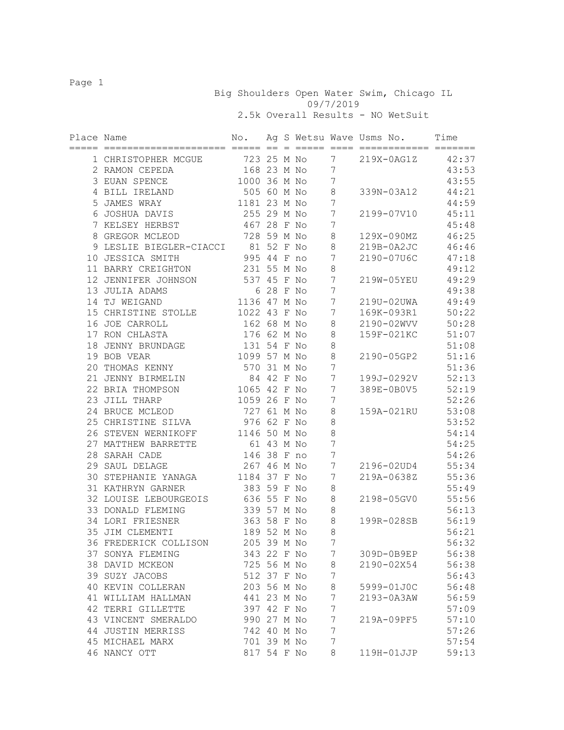Page 1

 Big Shoulders Open Water Swim, Chicago IL 09/7/2019 2.5k Overall Results - NO WetSuit

| Place Name |                         | No.          |            |  |                  | Ag S Wetsu Wave Usms No.<br>============ ==== | Time  |
|------------|-------------------------|--------------|------------|--|------------------|-----------------------------------------------|-------|
|            | 1 CHRISTOPHER MCGUE     | 723          | 25 M No    |  | 7                | 219X-0AG1Z                                    | 42:37 |
|            | 2 RAMON CEPEDA          | 168 23 M No  |            |  | 7                |                                               | 43:53 |
|            | 3 EUAN SPENCE           | 1000         | 36 M No    |  | $\boldsymbol{7}$ |                                               | 43:55 |
|            | 4 BILL IRELAND          | 505 60 M No  |            |  | 8                | 339N-03A12                                    | 44:21 |
|            | 5 JAMES WRAY            | 1181 23 M No |            |  | 7                |                                               | 44:59 |
|            | 6 JOSHUA DAVIS          | 255 29 M No  |            |  | 7                | 2199-07V10                                    | 45:11 |
|            | 7 KELSEY HERBST         | 467          | 28 F No    |  | 7                |                                               | 45:48 |
|            | 8 GREGOR MCLEOD         | 728          | 59 M No    |  | 8                | 129X-090MZ                                    | 46:25 |
|            | 9 LESLIE BIEGLER-CIACCI |              | 81 52 F No |  | 8                | 219B-0A2JC                                    | 46:46 |
|            | 10 JESSICA SMITH        | 995 44 F no  |            |  | 7                | 2190-07U6C                                    | 47:18 |
|            | 11 BARRY CREIGHTON      | 231 55 M No  |            |  | 8                |                                               | 49:12 |
|            | 12 JENNIFER JOHNSON     | 537 45 F No  |            |  | 7                | 219W-05YEU                                    | 49:29 |
|            | 13 JULIA ADAMS          |              | 6 28 F No  |  | 7                |                                               | 49:38 |
|            | 14 TJ WEIGAND           | 1136 47 M No |            |  | 7                | 219U-02UWA                                    | 49:49 |
|            | 15 CHRISTINE STOLLE     | 1022 43 F No |            |  | 7                | 169K-093R1                                    | 50:22 |
|            | 16 JOE CARROLL          | 162 68 M No  |            |  | 8                | 2190-02WVV                                    | 50:28 |
|            | 17 RON CHLASTA          | 176 62 M No  |            |  | $\,8\,$          | 159F-021KC                                    | 51:07 |
|            | 18 JENNY BRUNDAGE       | 131 54 F No  |            |  | 8                |                                               | 51:08 |
|            | 19 BOB VEAR             | 1099 57 M No |            |  | $\,8\,$          | 2190-05GP2                                    | 51:16 |
|            | 20 THOMAS KENNY         | 570 31 M No  |            |  | 7                |                                               | 51:36 |
|            | 21 JENNY BIRMELIN       | 84           | 42 F No    |  | 7                | 199J-0292V                                    | 52:13 |
|            | 22 BRIA THOMPSON        | 1065 42 F No |            |  | 7                | 389E-0B0V5                                    | 52:19 |
|            | 23 JILL THARP           | 1059 26 F No |            |  | 7                |                                               | 52:26 |
|            | 24 BRUCE MCLEOD         | 727 61 M No  |            |  | 8                | 159A-021RU                                    | 53:08 |
|            | 25 CHRISTINE SILVA      | 976 62 F No  |            |  | 8                |                                               | 53:52 |
|            | 26 STEVEN WERNIKOFF     | 1146 50 M No |            |  | $\,8\,$          |                                               | 54:14 |
|            | 27 MATTHEW BARRETTE     | 61           | 43 M No    |  | 7                |                                               | 54:25 |
|            | 28 SARAH CADE           | 146 38 F no  |            |  | 7                |                                               | 54:26 |
|            | 29 SAUL DELAGE          | 267 46 M No  |            |  | 7                | 2196-02UD4                                    | 55:34 |
|            | 30 STEPHANIE YANAGA     | 1184 37 F No |            |  | 7                | 219A-0638Z                                    | 55:36 |
|            | 31 KATHRYN GARNER       | 383 59 F No  |            |  | 8                |                                               | 55:49 |
|            | 32 LOUISE LEBOURGEOIS   | 636 55 F No  |            |  | 8                | 2198-05GV0                                    | 55:56 |
|            | 33 DONALD FLEMING       | 339 57 M No  |            |  | 8                |                                               | 56:13 |
|            | 34 LORI FRIESNER        | 363 58 F No  |            |  | 8                | 199R-028SB                                    | 56:19 |
|            | 35 JIM CLEMENTI         | 189 52 M No  |            |  | $\,8\,$          |                                               | 56:21 |
|            | 36 FREDERICK COLLISON   | 205 39 M No  |            |  | 7                |                                               | 56:32 |
|            | 37 SONYA FLEMING        | 343 22 F No  |            |  | 7                | 309D-0B9EP                                    | 56:38 |
|            | 38 DAVID MCKEON         | 725 56 M No  |            |  | 8                | 2190-02X54                                    | 56:38 |
|            | 39 SUZY JACOBS          | 512 37 F No  |            |  | 7                |                                               | 56:43 |
|            | 40 KEVIN COLLERAN       | 203 56 M No  |            |  | 8                | 5999-01J0C                                    | 56:48 |
|            | 41 WILLIAM HALLMAN      | 441 23 M No  |            |  | 7                | 2193-0A3AW                                    | 56:59 |
|            | 42 TERRI GILLETTE       | 397 42 F No  |            |  | 7                |                                               | 57:09 |
|            | 43 VINCENT SMERALDO     | 990 27 M No  |            |  | $\overline{7}$   | 219A-09PF5                                    | 57:10 |
|            | 44 JUSTIN MERRISS       | 742 40 M No  |            |  | 7                |                                               | 57:26 |
|            | 45 MICHAEL MARX         | 701 39 M No  |            |  | $\boldsymbol{7}$ |                                               | 57:54 |
|            | 46 NANCY OTT            | 817 54 F No  |            |  | 8                | 119H-01JJP                                    | 59:13 |